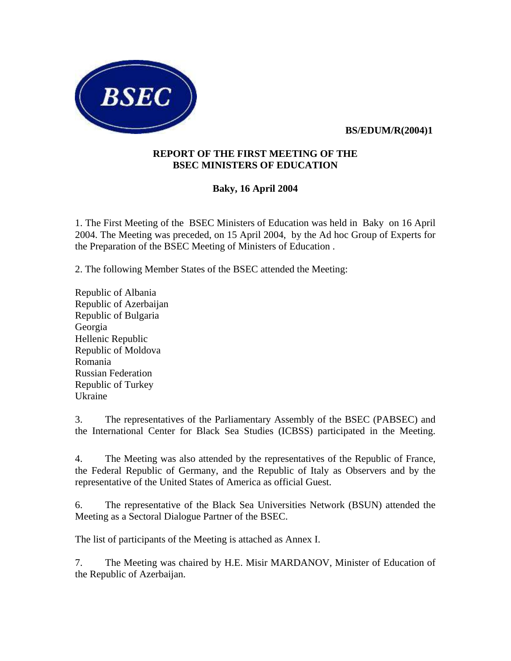

 **BS/EDUM/R(2004)1**

#### **REPORT OF THE FIRST MEETING OF THE BSEC MINISTERS OF EDUCATION**

# **Baky, 16 April 2004**

1. The First Meeting of the BSEC Ministers of Education was held in Baky on 16 April 2004. The Meeting was preceded, on 15 April 2004, by the Ad hoc Group of Experts for the Preparation of the BSEC Meeting of Ministers of Education .

2. The following Member States of the BSEC attended the Meeting:

Republic of Albania Republic of Azerbaijan Republic of Bulgaria Georgia Hellenic Republic Republic of Moldova Romania Russian Federation Republic of Turkey Ukraine

3. The representatives of the Parliamentary Assembly of the BSEC (PABSEC) and the International Center for Black Sea Studies (ICBSS) participated in the Meeting.

4. The Meeting was also attended by the representatives of the Republic of France, the Federal Republic of Germany, and the Republic of Italy as Observers and by the representative of the United States of America as official Guest.

6. The representative of the Black Sea Universities Network (BSUN) attended the Meeting as a Sectoral Dialogue Partner of the BSEC.

The list of participants of the Meeting is attached as Annex I.

7. The Meeting was chaired by H.E. Misir MARDANOV, Minister of Education of the Republic of Azerbaijan.